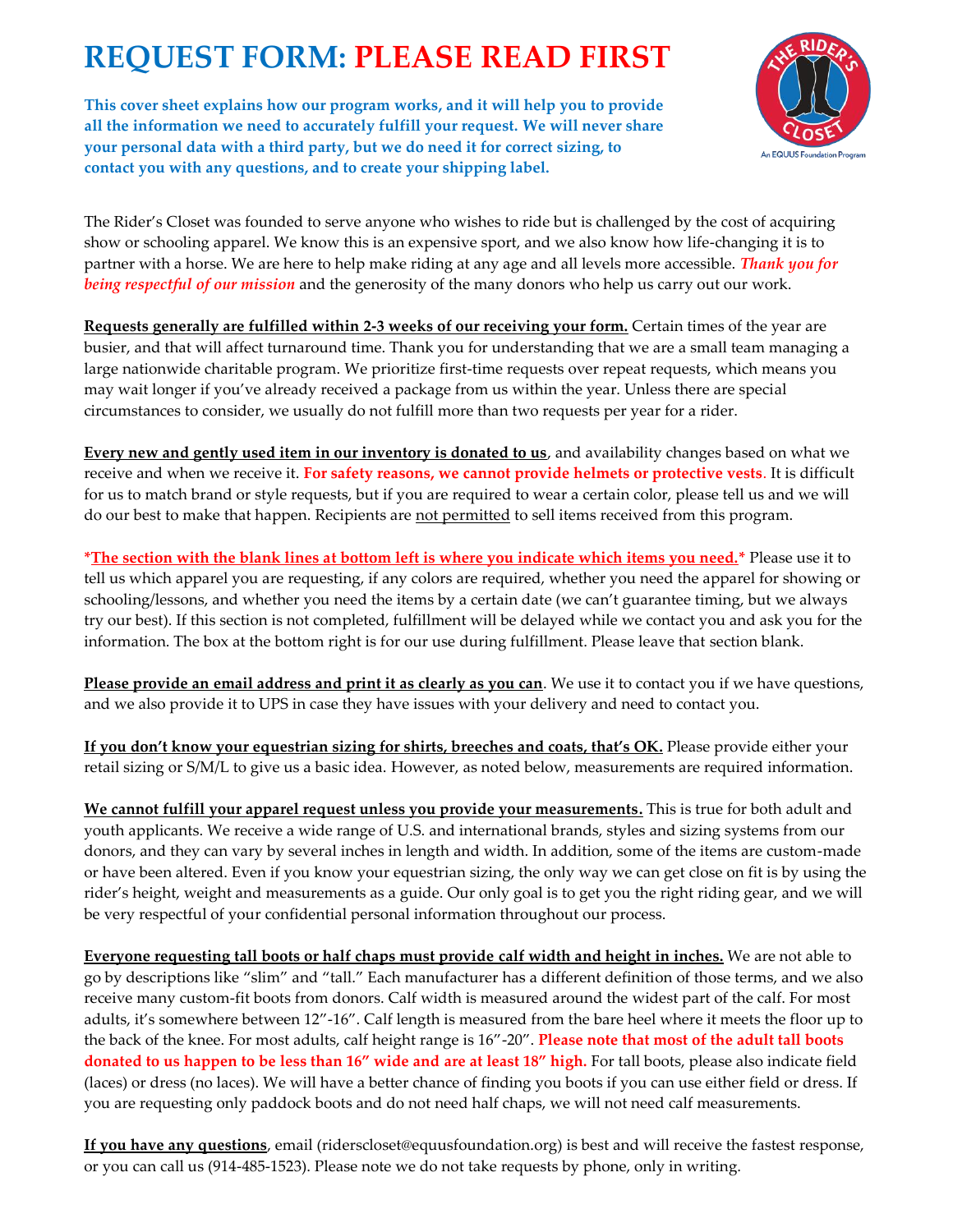## **REQUEST FORM: PLEASE READ FIRST**

**This cover sheet explains how our program works, and it will help you to provide all the information we need to accurately fulfill your request. We will never share your personal data with a third party, but we do need it for correct sizing, to contact you with any questions, and to create your shipping label.**



The Rider's Closet was founded to serve anyone who wishes to ride but is challenged by the cost of acquiring show or schooling apparel. We know this is an expensive sport, and we also know how life-changing it is to partner with a horse. We are here to help make riding at any age and all levels more accessible. *Thank you for being respectful of our mission* and the generosity of the many donors who help us carry out our work.

**Requests generally are fulfilled within 2-3 weeks of our receiving your form.** Certain times of the year are busier, and that will affect turnaround time. Thank you for understanding that we are a small team managing a large nationwide charitable program. We prioritize first-time requests over repeat requests, which means you may wait longer if you've already received a package from us within the year. Unless there are special circumstances to consider, we usually do not fulfill more than two requests per year for a rider.

**Every new and gently used item in our inventory is donated to us**, and availability changes based on what we receive and when we receive it. **For safety reasons, we cannot provide helmets or protective vests**. It is difficult for us to match brand or style requests, but if you are required to wear a certain color, please tell us and we will do our best to make that happen. Recipients are not permitted to sell items received from this program.

**\*The section with the blank lines at bottom left is where you indicate which items you need.\*** Please use it to tell us which apparel you are requesting, if any colors are required, whether you need the apparel for showing or schooling/lessons, and whether you need the items by a certain date (we can't guarantee timing, but we always try our best). If this section is not completed, fulfillment will be delayed while we contact you and ask you for the information. The box at the bottom right is for our use during fulfillment. Please leave that section blank.

**Please provide an email address and print it as clearly as you can**. We use it to contact you if we have questions, and we also provide it to UPS in case they have issues with your delivery and need to contact you.

**If you don't know your equestrian sizing for shirts, breeches and coats, that's OK.** Please provide either your retail sizing or S/M/L to give us a basic idea. However, as noted below, measurements are required information.

**We cannot fulfill your apparel request unless you provide your measurements.** This is true for both adult and youth applicants. We receive a wide range of U.S. and international brands, styles and sizing systems from our donors, and they can vary by several inches in length and width. In addition, some of the items are custom-made or have been altered. Even if you know your equestrian sizing, the only way we can get close on fit is by using the rider's height, weight and measurements as a guide. Our only goal is to get you the right riding gear, and we will be very respectful of your confidential personal information throughout our process.

**Everyone requesting tall boots or half chaps must provide calf width and height in inches.** We are not able to go by descriptions like "slim" and "tall." Each manufacturer has a different definition of those terms, and we also receive many custom-fit boots from donors. Calf width is measured around the widest part of the calf. For most adults, it's somewhere between 12"-16". Calf length is measured from the bare heel where it meets the floor up to the back of the knee. For most adults, calf height range is 16"-20". **Please note that most of the adult tall boots donated to us happen to be less than 16" wide and are at least 18" high.** For tall boots, please also indicate field (laces) or dress (no laces). We will have a better chance of finding you boots if you can use either field or dress. If you are requesting only paddock boots and do not need half chaps, we will not need calf measurements.

**If you have any questions**, email (riderscloset@equusfoundation.org) is best and will receive the fastest response, or you can call us (914-485-1523). Please note we do not take requests by phone, only in writing.